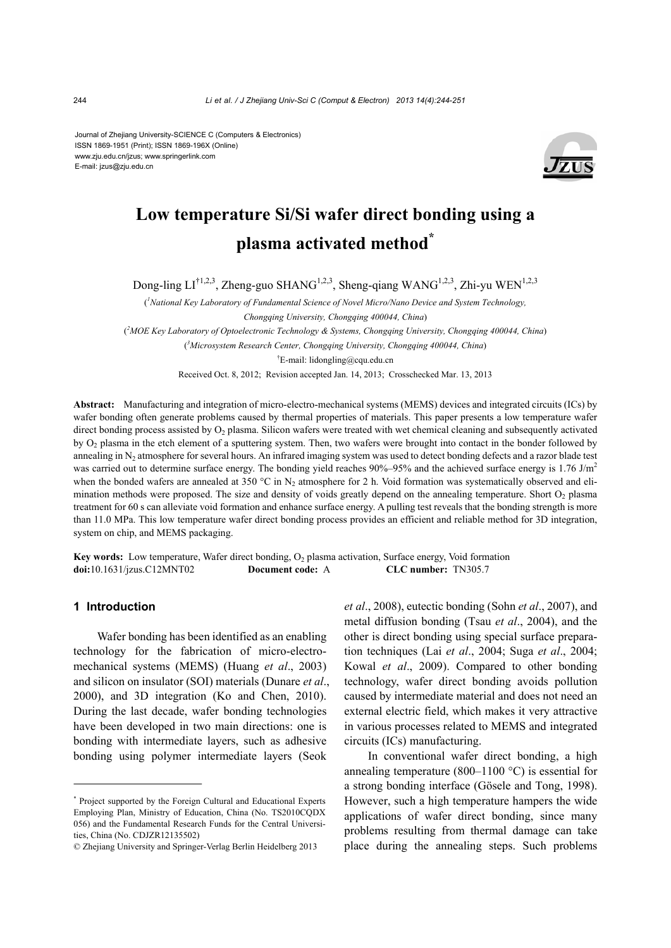Journal of Zhejiang University-SCIENCE C (Computers & Electronics) ISSN 1869-1951 (Print); ISSN 1869-196X (Online) www.zju.edu.cn/jzus; www.springerlink.com E-mail: jzus@zju.edu.cn



# **Low temperature Si/Si wafer direct bonding using a plasma activated method\***

Dong-ling  $LI^{\dagger1,2,3}$ , Zheng-guo SHANG<sup>1,2,3</sup>, Sheng-qiang WANG<sup>1,2,3</sup>, Zhi-yu WEN<sup>1,2,3</sup>

( *1 National Key Laboratory of Fundamental Science of Novel Micro/Nano Device and System Technology,* 

*Chongqing University, Chongqing 400044, China*)

( *2 MOE Key Laboratory of Optoelectronic Technology & Systems, Chongqing University, Chongqing 400044, China*)

( *3 Microsystem Research Center, Chongqing University, Chongqing 400044, China*)

<sup>†</sup>E-mail: lidongling@cqu.edu.cn

Received Oct. 8, 2012; Revision accepted Jan. 14, 2013; Crosschecked Mar. 13, 2013

**Abstract:** Manufacturing and integration of micro-electro-mechanical systems (MEMS) devices and integrated circuits (ICs) by wafer bonding often generate problems caused by thermal properties of materials. This paper presents a low temperature wafer direct bonding process assisted by  $O<sub>2</sub>$  plasma. Silicon wafers were treated with wet chemical cleaning and subsequently activated by  $O<sub>2</sub>$  plasma in the etch element of a sputtering system. Then, two wafers were brought into contact in the bonder followed by annealing in  $N_2$  atmosphere for several hours. An infrared imaging system was used to detect bonding defects and a razor blade test was carried out to determine surface energy. The bonding yield reaches 90%–95% and the achieved surface energy is 1.76 J/m<sup>2</sup> when the bonded wafers are annealed at 350 °C in N<sub>2</sub> atmosphere for 2 h. Void formation was systematically observed and elimination methods were proposed. The size and density of voids greatly depend on the annealing temperature. Short  $O<sub>2</sub>$  plasma treatment for 60 s can alleviate void formation and enhance surface energy. A pulling test reveals that the bonding strength is more than 11.0 MPa. This low temperature wafer direct bonding process provides an efficient and reliable method for 3D integration, system on chip, and MEMS packaging.

**Key words:** Low temperature, Wafer direct bonding, O<sub>2</sub> plasma activation, Surface energy, Void formation **doi:**10.1631/jzus.C12MNT02 **Document code:** A **CLC number:** TN305.7

## **1 Introduction**

Wafer bonding has been identified as an enabling technology for the fabrication of micro-electromechanical systems (MEMS) (Huang *et al*., 2003) and silicon on insulator (SOI) materials (Dunare *et al*., 2000), and 3D integration (Ko and Chen, 2010). During the last decade, wafer bonding technologies have been developed in two main directions: one is bonding with intermediate layers, such as adhesive bonding using polymer intermediate layers (Seok

*et al*., 2008), eutectic bonding (Sohn *et al*., 2007), and metal diffusion bonding (Tsau *et al*., 2004), and the other is direct bonding using special surface preparation techniques (Lai *et al*., 2004; Suga *et al*., 2004; Kowal *et al*., 2009). Compared to other bonding technology, wafer direct bonding avoids pollution caused by intermediate material and does not need an external electric field, which makes it very attractive in various processes related to MEMS and integrated circuits (ICs) manufacturing.

In conventional wafer direct bonding, a high annealing temperature (800–1100 °C) is essential for a strong bonding interface (Gösele and Tong, 1998). However, such a high temperature hampers the wide applications of wafer direct bonding, since many problems resulting from thermal damage can take place during the annealing steps. Such problems

<sup>\*</sup> Project supported by the Foreign Cultural and Educational Experts Employing Plan, Ministry of Education, China (No. TS2010CQDX 056) and the Fundamental Research Funds for the Central Universities, China (No. CDJZR12135502)

<sup>©</sup> Zhejiang University and Springer-Verlag Berlin Heidelberg 2013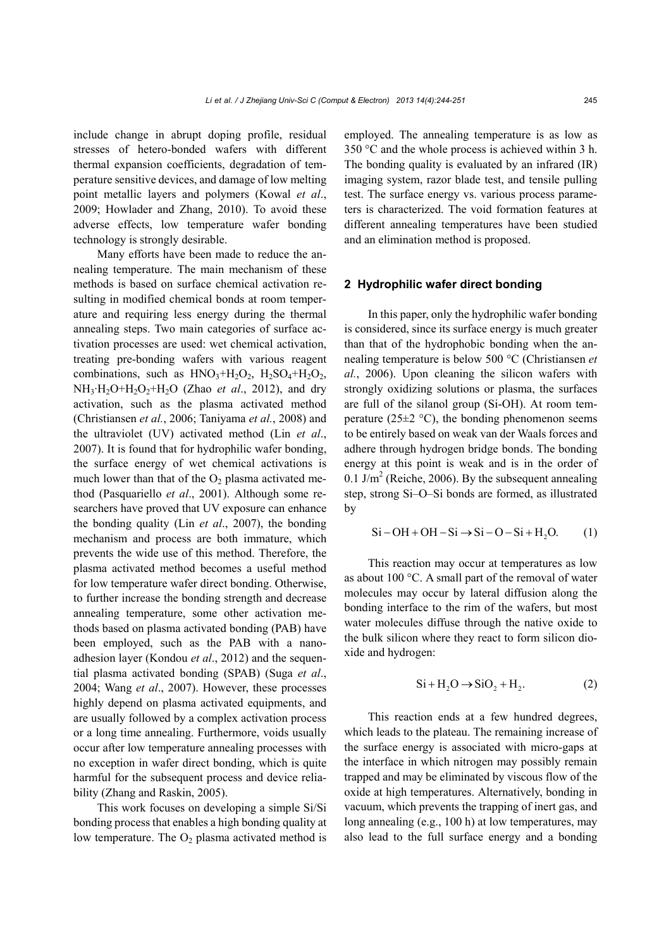include change in abrupt doping profile, residual stresses of hetero-bonded wafers with different thermal expansion coefficients, degradation of temperature sensitive devices, and damage of low melting point metallic layers and polymers (Kowal *et al*., 2009; Howlader and Zhang, 2010). To avoid these adverse effects, low temperature wafer bonding technology is strongly desirable.

Many efforts have been made to reduce the annealing temperature. The main mechanism of these methods is based on surface chemical activation resulting in modified chemical bonds at room temperature and requiring less energy during the thermal annealing steps. Two main categories of surface activation processes are used: wet chemical activation, treating pre-bonding wafers with various reagent combinations, such as  $HNO<sub>3</sub>+H<sub>2</sub>O<sub>2</sub>$ ,  $H<sub>2</sub>SO<sub>4</sub>+H<sub>2</sub>O<sub>2</sub>$ , NH3·H2O+H2O2+H2O (Zhao *et al*., 2012), and dry activation, such as the plasma activated method (Christiansen *et al.*, 2006; Taniyama *et al.*, 2008) and the ultraviolet (UV) activated method (Lin *et al*., 2007). It is found that for hydrophilic wafer bonding, the surface energy of wet chemical activations is much lower than that of the  $O<sub>2</sub>$  plasma activated method (Pasquariello *et al*., 2001). Although some researchers have proved that UV exposure can enhance the bonding quality (Lin *et al*., 2007), the bonding mechanism and process are both immature, which prevents the wide use of this method. Therefore, the plasma activated method becomes a useful method for low temperature wafer direct bonding. Otherwise, to further increase the bonding strength and decrease annealing temperature, some other activation methods based on plasma activated bonding (PAB) have been employed, such as the PAB with a nanoadhesion layer (Kondou *et al*., 2012) and the sequential plasma activated bonding (SPAB) (Suga *et al*., 2004; Wang *et al*., 2007). However, these processes highly depend on plasma activated equipments, and are usually followed by a complex activation process or a long time annealing. Furthermore, voids usually occur after low temperature annealing processes with no exception in wafer direct bonding, which is quite harmful for the subsequent process and device reliability (Zhang and Raskin, 2005).

This work focuses on developing a simple Si/Si bonding process that enables a high bonding quality at low temperature. The  $O_2$  plasma activated method is employed. The annealing temperature is as low as 350 °C and the whole process is achieved within 3 h. The bonding quality is evaluated by an infrared (IR) imaging system, razor blade test, and tensile pulling test. The surface energy vs. various process parameters is characterized. The void formation features at different annealing temperatures have been studied and an elimination method is proposed.

### **2 Hydrophilic wafer direct bonding**

In this paper, only the hydrophilic wafer bonding is considered, since its surface energy is much greater than that of the hydrophobic bonding when the annealing temperature is below 500 °C (Christiansen *et al.*, 2006). Upon cleaning the silicon wafers with strongly oxidizing solutions or plasma, the surfaces are full of the silanol group (Si-OH). At room temperature (25 $\pm$ 2 °C), the bonding phenomenon seems to be entirely based on weak van der Waals forces and adhere through hydrogen bridge bonds. The bonding energy at this point is weak and is in the order of 0.1 J/m<sup>2</sup> (Reiche, 2006). By the subsequent annealing step, strong Si–O–Si bonds are formed, as illustrated by

$$
Si-OH + OH - Si \rightarrow Si-O-Si + H2O. (1)
$$

This reaction may occur at temperatures as low as about 100 °C. A small part of the removal of water molecules may occur by lateral diffusion along the bonding interface to the rim of the wafers, but most water molecules diffuse through the native oxide to the bulk silicon where they react to form silicon dioxide and hydrogen:

$$
Si + H2O \rightarrow SiO2 + H2.
$$
 (2)

This reaction ends at a few hundred degrees, which leads to the plateau. The remaining increase of the surface energy is associated with micro-gaps at the interface in which nitrogen may possibly remain trapped and may be eliminated by viscous flow of the oxide at high temperatures. Alternatively, bonding in vacuum, which prevents the trapping of inert gas, and long annealing (e.g., 100 h) at low temperatures, may also lead to the full surface energy and a bonding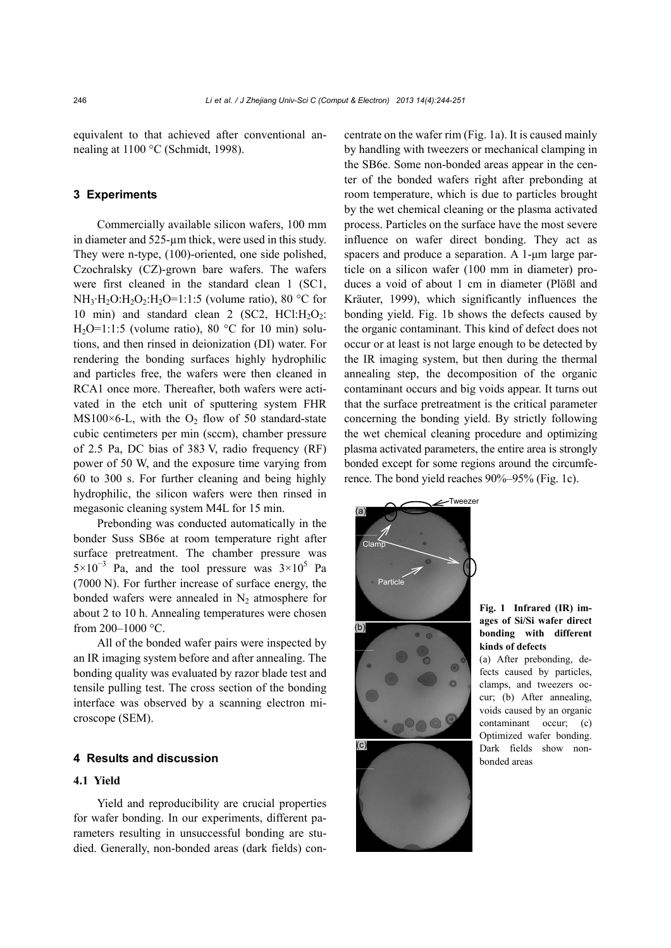equivalent to that achieved after conventional annealing at 1100 °C (Schmidt, 1998).

## **3 Experiments**

Commercially available silicon wafers, 100 mm in diameter and 525-µm thick, were used in this study. They were n-type, (100)-oriented, one side polished, Czochralsky (CZ)-grown bare wafers. The wafers were first cleaned in the standard clean 1 (SC1,  $NH_3·H_2O:H_2O_2:H_2O=1:1:5$  (volume ratio), 80 °C for 10 min) and standard clean 2 (SC2, HCl: $H_2O_2$ : H<sub>2</sub>O=1:1:5 (volume ratio), 80 °C for 10 min) solutions, and then rinsed in deionization (DI) water. For rendering the bonding surfaces highly hydrophilic and particles free, the wafers were then cleaned in RCA1 once more. Thereafter, both wafers were activated in the etch unit of sputtering system FHR  $MS100\times6$ -L, with the O<sub>2</sub> flow of 50 standard-state cubic centimeters per min (sccm), chamber pressure of 2.5 Pa, DC bias of 383 V, radio frequency (RF) power of 50 W, and the exposure time varying from 60 to 300 s. For further cleaning and being highly hydrophilic, the silicon wafers were then rinsed in megasonic cleaning system M4L for 15 min.

Prebonding was conducted automatically in the bonder Suss SB6e at room temperature right after surface pretreatment. The chamber pressure was  $5\times10^{-3}$  Pa, and the tool pressure was  $3\times10^{5}$  Pa (7000 N). For further increase of surface energy, the bonded wafers were annealed in  $N_2$  atmosphere for about 2 to 10 h. Annealing temperatures were chosen from  $200-1000$  °C.

All of the bonded wafer pairs were inspected by an IR imaging system before and after annealing. The bonding quality was evaluated by razor blade test and tensile pulling test. The cross section of the bonding interface was observed by a scanning electron microscope (SEM).

## **4 Results and discussion**

## **4.1 Yield**

Yield and reproducibility are crucial properties for wafer bonding. In our experiments, different parameters resulting in unsuccessful bonding are studied. Generally, non-bonded areas (dark fields) concentrate on the wafer rim (Fig. 1a). It is caused mainly by handling with tweezers or mechanical clamping in the SB6e. Some non-bonded areas appear in the center of the bonded wafers right after prebonding at room temperature, which is due to particles brought by the wet chemical cleaning or the plasma activated process. Particles on the surface have the most severe influence on wafer direct bonding. They act as spacers and produce a separation. A 1-μm large particle on a silicon wafer (100 mm in diameter) produces a void of about 1 cm in diameter (Plößl and Kräuter, 1999), which significantly influences the bonding yield. Fig. 1b shows the defects caused by the organic contaminant. This kind of defect does not occur or at least is not large enough to be detected by the IR imaging system, but then during the thermal annealing step, the decomposition of the organic contaminant occurs and big voids appear. It turns out that the surface pretreatment is the critical parameter concerning the bonding yield. By strictly following the wet chemical cleaning procedure and optimizing plasma activated parameters, the entire area is strongly bonded except for some regions around the circumference. The bond yield reaches 90%–95% (Fig. 1c).



**Fig. 1 Infrared (IR) images of Si/Si wafer direct bonding with different kinds of defects** 

(a) After prebonding, defects caused by particles, clamps, and tweezers occur; (b) After annealing, voids caused by an organic contaminant occur; (c) Optimized wafer bonding. Dark fields show nonbonded areas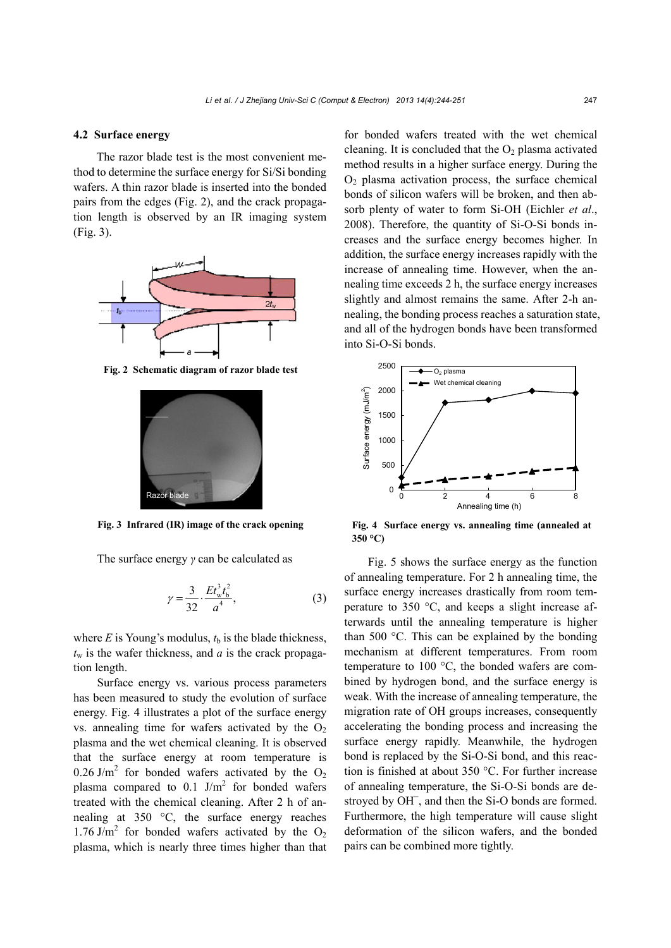#### **4.2 Surface energy**

The razor blade test is the most convenient method to determine the surface energy for Si/Si bonding wafers. A thin razor blade is inserted into the bonded pairs from the edges (Fig. 2), and the crack propagation length is observed by an IR imaging system (Fig. 3).



**Fig. 2 Schematic diagram of razor blade test** 



**Fig. 3 Infrared (IR) image of the crack opening** 

The surface energy *γ* can be calculated as

$$
\gamma = \frac{3}{32} \cdot \frac{Et_{w}^{3}t_{b}^{2}}{a^{4}},
$$
\n(3)

where  $E$  is Young's modulus,  $t<sub>b</sub>$  is the blade thickness,  $t_w$  is the wafer thickness, and *a* is the crack propagation length.

Surface energy vs. various process parameters has been measured to study the evolution of surface energy. Fig. 4 illustrates a plot of the surface energy vs. annealing time for wafers activated by the  $O<sub>2</sub>$ plasma and the wet chemical cleaning. It is observed that the surface energy at room temperature is 0.26 J/m<sup>2</sup> for bonded wafers activated by the  $O_2$ plasma compared to 0.1 J/m<sup>2</sup> for bonded wafers treated with the chemical cleaning. After 2 h of annealing at 350 °C, the surface energy reaches 1.76 J/m<sup>2</sup> for bonded wafers activated by the  $O_2$ plasma, which is nearly three times higher than that

for bonded wafers treated with the wet chemical cleaning. It is concluded that the  $O_2$  plasma activated method results in a higher surface energy. During the  $O<sub>2</sub>$  plasma activation process, the surface chemical bonds of silicon wafers will be broken, and then absorb plenty of water to form Si-OH (Eichler *et al*., 2008). Therefore, the quantity of Si-O-Si bonds increases and the surface energy becomes higher. In addition, the surface energy increases rapidly with the increase of annealing time. However, when the annealing time exceeds 2 h, the surface energy increases slightly and almost remains the same. After 2-h annealing, the bonding process reaches a saturation state, and all of the hydrogen bonds have been transformed into Si-O-Si bonds.



**Fig. 4 Surface energy vs. annealing time (annealed at 350 °C)** 

Fig. 5 shows the surface energy as the function of annealing temperature. For 2 h annealing time, the surface energy increases drastically from room temperature to 350 °C, and keeps a slight increase afterwards until the annealing temperature is higher than 500 °C. This can be explained by the bonding mechanism at different temperatures. From room temperature to 100 °C, the bonded wafers are combined by hydrogen bond, and the surface energy is weak. With the increase of annealing temperature, the migration rate of OH groups increases, consequently accelerating the bonding process and increasing the surface energy rapidly. Meanwhile, the hydrogen bond is replaced by the Si-O-Si bond, and this reaction is finished at about 350 °C. For further increase of annealing temperature, the Si-O-Si bonds are destroyed by OH<sup>-</sup>, and then the Si-O bonds are formed. Furthermore, the high temperature will cause slight deformation of the silicon wafers, and the bonded pairs can be combined more tightly.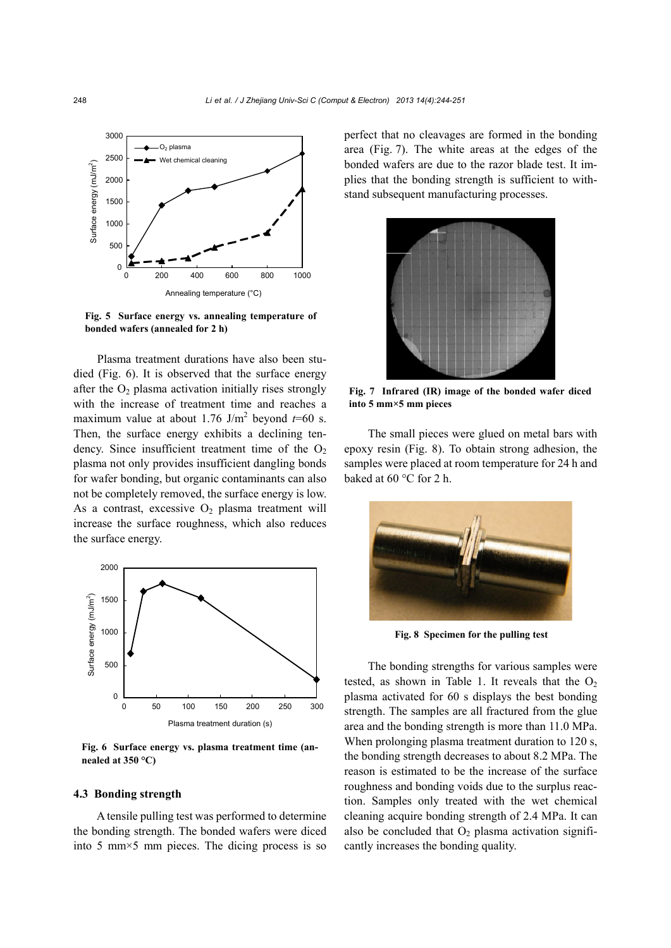

**Fig. 5 Surface energy vs. annealing temperature of bonded wafers (annealed for 2 h)** 

Plasma treatment durations have also been studied (Fig. 6). It is observed that the surface energy after the  $O<sub>2</sub>$  plasma activation initially rises strongly with the increase of treatment time and reaches a maximum value at about 1.76 J/m<sup>2</sup> beyond  $t=60$  s. Then, the surface energy exhibits a declining tendency. Since insufficient treatment time of the  $O<sub>2</sub>$ plasma not only provides insufficient dangling bonds for wafer bonding, but organic contaminants can also not be completely removed, the surface energy is low. As a contrast, excessive  $O_2$  plasma treatment will increase the surface roughness, which also reduces the surface energy.



**Fig. 6 Surface energy vs. plasma treatment time (annealed at 350 °C)** 

## **4.3 Bonding strength**

A tensile pulling test was performed to determine the bonding strength. The bonded wafers were diced into 5 mm×5 mm pieces. The dicing process is so perfect that no cleavages are formed in the bonding area (Fig. 7). The white areas at the edges of the bonded wafers are due to the razor blade test. It implies that the bonding strength is sufficient to withstand subsequent manufacturing processes.



**Fig. 7 Infrared (IR) image of the bonded wafer diced into 5 mm×5 mm pieces** 

The small pieces were glued on metal bars with epoxy resin (Fig. 8). To obtain strong adhesion, the samples were placed at room temperature for 24 h and baked at 60 °C for 2 h.



**Fig. 8 Specimen for the pulling test** 

The bonding strengths for various samples were tested, as shown in Table 1. It reveals that the  $O_2$ plasma activated for 60 s displays the best bonding strength. The samples are all fractured from the glue area and the bonding strength is more than 11.0 MPa. When prolonging plasma treatment duration to 120 s, the bonding strength decreases to about 8.2 MPa. The reason is estimated to be the increase of the surface roughness and bonding voids due to the surplus reaction. Samples only treated with the wet chemical cleaning acquire bonding strength of 2.4 MPa. It can also be concluded that  $O_2$  plasma activation significantly increases the bonding quality.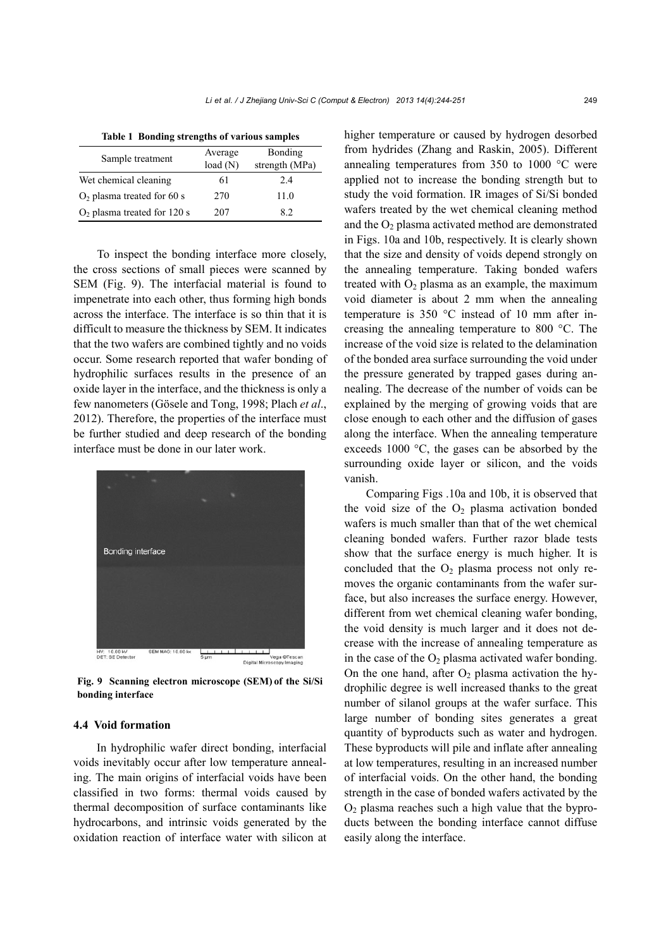| raon i ponumi su encuns or various samples |         |                |
|--------------------------------------------|---------|----------------|
| Sample treatment                           | Average | Bonding        |
|                                            | load(N) | strength (MPa) |
| Wet chemical cleaning                      | 61      | 2.4            |
| $O2$ plasma treated for 60 s               | 270     | 11.0           |
| $O2$ plasma treated for 120 s              | 207     | 82             |

**Table 1 Bonding strengths of various samples** 

To inspect the bonding interface more closely, the cross sections of small pieces were scanned by SEM (Fig. 9). The interfacial material is found to impenetrate into each other, thus forming high bonds across the interface. The interface is so thin that it is difficult to measure the thickness by SEM. It indicates that the two wafers are combined tightly and no voids occur. Some research reported that wafer bonding of hydrophilic surfaces results in the presence of an oxide layer in the interface, and the thickness is only a few nanometers (Gösele and Tong, 1998; Plach *et al*., 2012). Therefore, the properties of the interface must be further studied and deep research of the bonding interface must be done in our later work.



**Fig. 9 Scanning electron microscope (SEM) of the Si/Si bonding interface**

## **4.4 Void formation**

In hydrophilic wafer direct bonding, interfacial voids inevitably occur after low temperature annealing. The main origins of interfacial voids have been classified in two forms: thermal voids caused by thermal decomposition of surface contaminants like hydrocarbons, and intrinsic voids generated by the oxidation reaction of interface water with silicon at higher temperature or caused by hydrogen desorbed from hydrides (Zhang and Raskin, 2005). Different annealing temperatures from 350 to 1000 °C were applied not to increase the bonding strength but to study the void formation. IR images of Si/Si bonded wafers treated by the wet chemical cleaning method and the  $O<sub>2</sub>$  plasma activated method are demonstrated in Figs. 10a and 10b, respectively. It is clearly shown that the size and density of voids depend strongly on the annealing temperature. Taking bonded wafers treated with  $O<sub>2</sub>$  plasma as an example, the maximum void diameter is about 2 mm when the annealing temperature is 350 °C instead of 10 mm after increasing the annealing temperature to 800 °C. The increase of the void size is related to the delamination of the bonded area surface surrounding the void under the pressure generated by trapped gases during annealing. The decrease of the number of voids can be explained by the merging of growing voids that are close enough to each other and the diffusion of gases along the interface. When the annealing temperature exceeds 1000 °C, the gases can be absorbed by the surrounding oxide layer or silicon, and the voids vanish.

Comparing Figs .10a and 10b, it is observed that the void size of the  $O_2$  plasma activation bonded wafers is much smaller than that of the wet chemical cleaning bonded wafers. Further razor blade tests show that the surface energy is much higher. It is concluded that the  $O_2$  plasma process not only removes the organic contaminants from the wafer surface, but also increases the surface energy. However, different from wet chemical cleaning wafer bonding, the void density is much larger and it does not decrease with the increase of annealing temperature as in the case of the  $O_2$  plasma activated wafer bonding. On the one hand, after  $O_2$  plasma activation the hydrophilic degree is well increased thanks to the great number of silanol groups at the wafer surface. This large number of bonding sites generates a great quantity of byproducts such as water and hydrogen. These byproducts will pile and inflate after annealing at low temperatures, resulting in an increased number of interfacial voids. On the other hand, the bonding strength in the case of bonded wafers activated by the  $O<sub>2</sub>$  plasma reaches such a high value that the byproducts between the bonding interface cannot diffuse easily along the interface.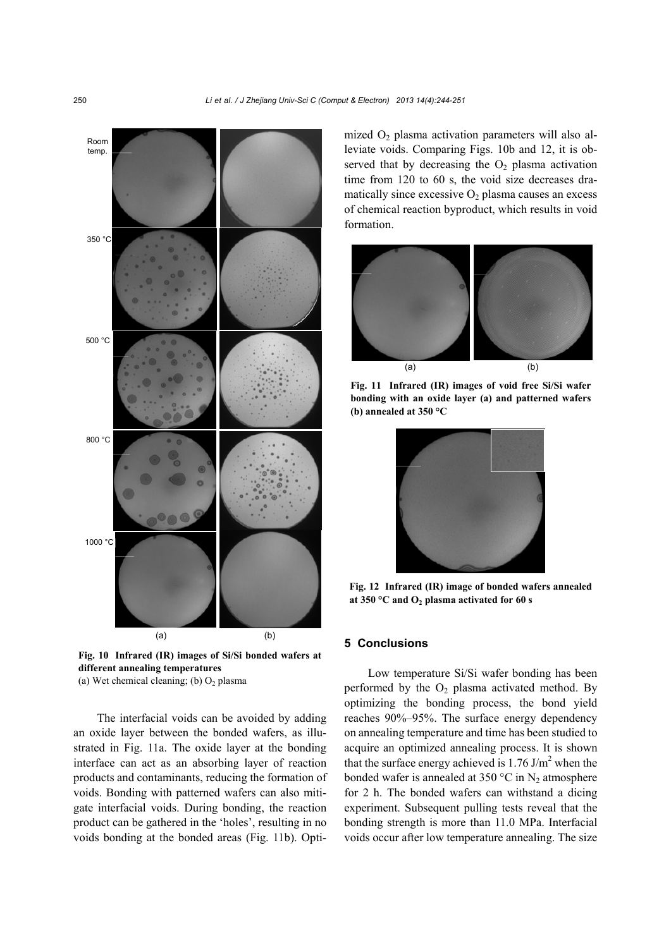

**Fig. 10 Infrared (IR) images of Si/Si bonded wafers at different annealing temperatures** 

(a) Wet chemical cleaning; (b)  $O_2$  plasma

The interfacial voids can be avoided by adding an oxide layer between the bonded wafers, as illustrated in Fig. 11a. The oxide layer at the bonding interface can act as an absorbing layer of reaction products and contaminants, reducing the formation of voids. Bonding with patterned wafers can also mitigate interfacial voids. During bonding, the reaction product can be gathered in the 'holes', resulting in no voids bonding at the bonded areas (Fig. 11b). Optimized  $O_2$  plasma activation parameters will also alleviate voids. Comparing Figs. 10b and 12, it is observed that by decreasing the  $O<sub>2</sub>$  plasma activation time from 120 to 60 s, the void size decreases dramatically since excessive  $O_2$  plasma causes an excess of chemical reaction byproduct, which results in void formation.



**Fig. 11 Infrared (IR) images of void free Si/Si wafer bonding with an oxide layer (a) and patterned wafers (b) annealed at 350 °C** 



**Fig. 12 Infrared (IR) image of bonded wafers annealed at 350 °C and O2 plasma activated for 60 s** 

## **5 Conclusions**

Low temperature Si/Si wafer bonding has been performed by the  $O_2$  plasma activated method. By optimizing the bonding process, the bond yield reaches 90%–95%. The surface energy dependency on annealing temperature and time has been studied to acquire an optimized annealing process. It is shown that the surface energy achieved is  $1.76$  J/m<sup>2</sup> when the bonded wafer is annealed at 350 °C in  $N_2$  atmosphere for 2 h. The bonded wafers can withstand a dicing experiment. Subsequent pulling tests reveal that the bonding strength is more than 11.0 MPa. Interfacial voids occur after low temperature annealing. The size